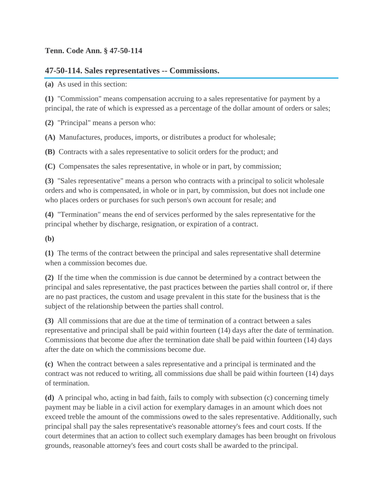## **Tenn. Code Ann. § 47-50-114**

## **47-50-114. Sales representatives -- Commissions.**

**(a)** As used in this section:

**(1)** "Commission" means compensation accruing to a sales representative for payment by a principal, the rate of which is expressed as a percentage of the dollar amount of orders or sales;

**(2)** "Principal" means a person who:

**(A)** Manufactures, produces, imports, or distributes a product for wholesale;

**(B)** Contracts with a sales representative to solicit orders for the product; and

**(C)** Compensates the sales representative, in whole or in part, by commission;

**(3)** "Sales representative" means a person who contracts with a principal to solicit wholesale orders and who is compensated, in whole or in part, by commission, but does not include one who places orders or purchases for such person's own account for resale; and

**(4)** "Termination" means the end of services performed by the sales representative for the principal whether by discharge, resignation, or expiration of a contract.

**(b)**

**(1)** The terms of the contract between the principal and sales representative shall determine when a commission becomes due.

**(2)** If the time when the commission is due cannot be determined by a contract between the principal and sales representative, the past practices between the parties shall control or, if there are no past practices, the custom and usage prevalent in this state for the business that is the subject of the relationship between the parties shall control.

**(3)** All commissions that are due at the time of termination of a contract between a sales representative and principal shall be paid within fourteen (14) days after the date of termination. Commissions that become due after the termination date shall be paid within fourteen (14) days after the date on which the commissions become due.

**(c)** When the contract between a sales representative and a principal is terminated and the contract was not reduced to writing, all commissions due shall be paid within fourteen (14) days of termination.

**(d)** A principal who, acting in bad faith, fails to comply with subsection (c) concerning timely payment may be liable in a civil action for exemplary damages in an amount which does not exceed treble the amount of the commissions owed to the sales representative. Additionally, such principal shall pay the sales representative's reasonable attorney's fees and court costs. If the court determines that an action to collect such exemplary damages has been brought on frivolous grounds, reasonable attorney's fees and court costs shall be awarded to the principal.